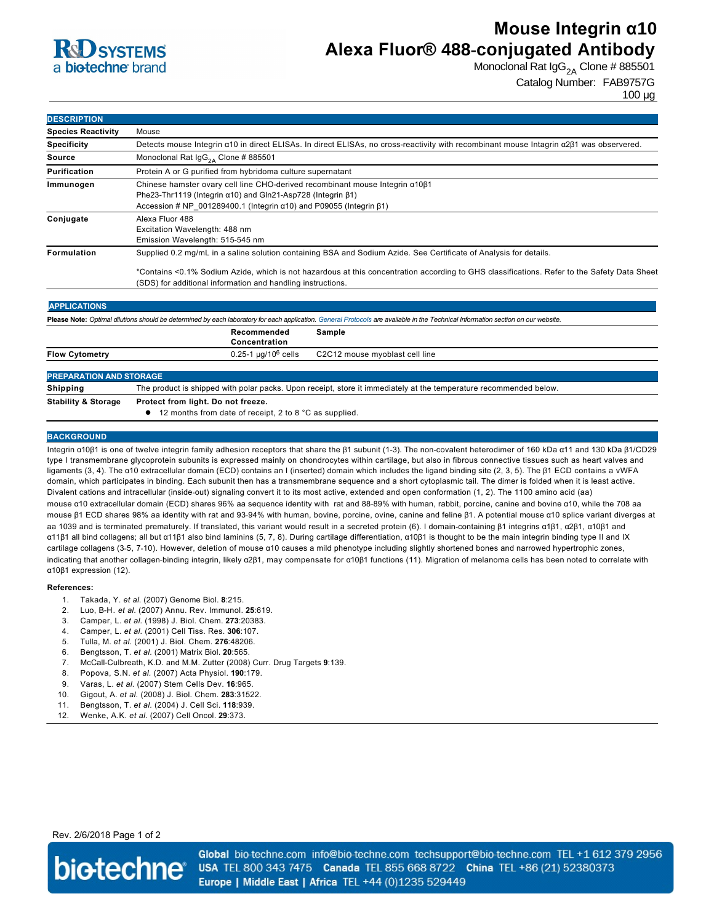

# **Mouse Integrin α10 Alexa Fluor® 488-conjugated Antibody**

Monoclonal Rat  $\lg G_{2A}$  Clone # 885501

Catalog Number: FAB9757G

100 µg

| <b>DESCRIPTION</b>        |                                                                                                                                                                                                                                                           |
|---------------------------|-----------------------------------------------------------------------------------------------------------------------------------------------------------------------------------------------------------------------------------------------------------|
| <b>Species Reactivity</b> | Mouse                                                                                                                                                                                                                                                     |
| <b>Specificity</b>        | Detects mouse Integrin a10 in direct ELISAs. In direct ELISAs, no cross-reactivity with recombinant mouse Intagrin a2 $\beta$ 1 was observered.                                                                                                           |
| Source                    | Monoclonal Rat $\lg G_{2A}$ Clone # 885501                                                                                                                                                                                                                |
| Purification              | Protein A or G purified from hybridoma culture supernatant                                                                                                                                                                                                |
| Immunogen                 | Chinese hamster ovary cell line CHO-derived recombinant mouse Integrin a10 $\beta$ 1<br>Phe23-Thr1119 (Integrin $\alpha$ 10) and Gln21-Asp728 (Integrin $\beta$ 1)<br>Accession # NP $001289400.1$ (Integrin $\alpha$ 10) and P09055 (Integrin $\beta$ 1) |
| Conjugate                 | Alexa Fluor 488<br>Excitation Wavelength: 488 nm<br>Emission Wavelength: 515-545 nm                                                                                                                                                                       |
| <b>Formulation</b>        | Supplied 0.2 mg/mL in a saline solution containing BSA and Sodium Azide. See Certificate of Analysis for details.                                                                                                                                         |
|                           | *Contains <0.1% Sodium Azide, which is not hazardous at this concentration according to GHS classifications. Refer to the Safety Data Sheet                                                                                                               |

(SDS) for additional information and handling instructions.

### **APPLICATIONS**

**Please Note:** *Optimal dilutions should be determined by each laboratory for each application. [General Protocols](http://www.rndsystems.com/resources/protocols-troubleshooting-guides) are available in the Technical Information section on our website.* **Recommended Sample**

|                                | Concentration                                                                                                     |
|--------------------------------|-------------------------------------------------------------------------------------------------------------------|
| <b>Flow Cytometry</b>          | $0.25$ -1 µg/10 $^6$ cells<br>C2C12 mouse myoblast cell line                                                      |
|                                |                                                                                                                   |
| <b>PREPARATION AND STORAGE</b> |                                                                                                                   |
| Shipping                       | The product is shipped with polar packs. Upon receipt, store it immediately at the temperature recommended below. |
| <b>Stability &amp; Storage</b> | Protect from light. Do not freeze.                                                                                |
|                                | • 12 months from date of receipt, 2 to 8 °C as supplied.                                                          |

#### **BACKGROUND**

Integrin α10β1 is one of twelve integrin family adhesion receptors that share the β1 subunit (1-3). The non-covalent heterodimer of 160 kDa α11 and 130 kDa β1/CD29 type I transmembrane glycoprotein subunits is expressed mainly on chondrocytes within cartilage, but also in fibrous connective tissues such as heart valves and ligaments (3, 4). The α10 extracellular domain (ECD) contains an I (inserted) domain which includes the ligand binding site (2, 3, 5). The β1 ECD contains a vWFA domain, which participates in binding. Each subunit then has a transmembrane sequence and a short cytoplasmic tail. The dimer is folded when it is least active. Divalent cations and intracellular (inside-out) signaling convert it to its most active, extended and open conformation (1, 2). The 1100 amino acid (aa) mouse α10 extracellular domain (ECD) shares 96% aa sequence identity with rat and 88-89% with human, rabbit, porcine, canine and bovine α10, while the 708 aa mouse β1 ECD shares 98% aa identity with rat and 9394% with human, bovine, porcine, ovine, canine and feline β1. A potential mouse α10 splice variant diverges at aa 1039 and is terminated prematurely. If translated, this variant would result in a secreted protein (6). I domain-containing β1 integrins α1β1, α2β1, α10β1 and α11β1 all bind collagens; all but α11β1 also bind laminins (5, 7, 8). During cartilage differentiation, α10β1 is thought to be the main integrin binding type II and IX cartilage collagens (35, 710). However, deletion of mouse α10 causes a mild phenotype including slightly shortened bones and narrowed hypertrophic zones, indicating that another collagen-binding integrin, likely α2β1, may compensate for α10β1 functions (11). Migration of melanoma cells has been noted to correlate with α10β1 expression (12).

#### **References:**

- 1. Takada, Y. *et al*. (2007) Genome Biol. **8**:215.
- 2. Luo, BH. *et al*. (2007) Annu. Rev. Immunol. **25**:619.
- 3. Camper, L. *et al.* (1998) J. Biol. Chem. **273**:20383.
- 4. Camper, L. *et al.* (2001) Cell Tiss. Res. **306**:107.
- 5. Tulla, M. *et al.* (2001) J. Biol. Chem. **276**:48206.
- 6. Bengtsson, T. *et al.* (2001) Matrix Biol. **20**:565.
- 7. McCall-Culbreath, K.D. and M.M. Zutter (2008) Curr. Drug Targets 9:139.
- 8. Popova, S.N. *et al.* (2007) Acta Physiol. **190**:179.
- 9. Varas, L. *et al.* (2007) Stem Cells Dev. **16**:965.
- 10. Gigout, A. *et al.* (2008) J. Biol. Chem. **283**:31522.
- 11. Bengtsson, T. *et al.* (2004) J. Cell Sci. **118**:939.
- 12. Wenke, A.K. *et al.* (2007) Cell Oncol. **29**:373.

#### Rev. 2/6/2018 Page 1 of 2



Global bio-techne.com info@bio-techne.com techsupport@bio-techne.com TEL +1 612 379 2956 USA TEL 800 343 7475 Canada TEL 855 668 8722 China TEL +86 (21) 52380373 Europe | Middle East | Africa TEL +44 (0)1235 529449